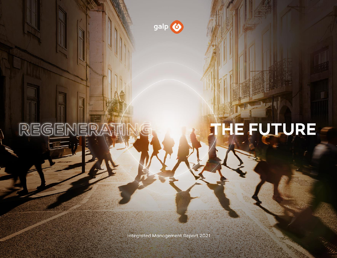

REGENER

## HE FUTURE

Integrated Management Report 2021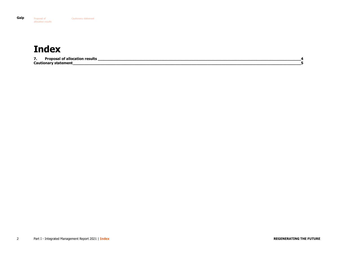### <span id="page-1-0"></span>**Index**

**7. Proposal of allocation results [\\_\\_\\_\\_\\_\\_\\_\\_\\_\\_\\_\\_\\_\\_\\_\\_\\_\\_\\_\\_\\_\\_\\_\\_\\_\\_\\_\\_\\_\\_\\_\\_\\_\\_\\_\\_\\_\\_\\_\\_\\_\\_\\_\\_\\_\\_\\_\\_\\_\\_\\_\\_\\_\\_\\_\\_\\_\\_\\_\\_\\_\\_\\_\\_\\_\\_\\_\\_\\_\\_\\_\\_\\_\\_\\_\\_\\_\\_\\_\\_\\_\\_\\_\\_\\_\\_\\_\\_\\_4](#page-3-0) [Cautionary statement\\_\\_\\_\\_\\_\\_\\_\\_\\_\\_\\_\\_\\_\\_\\_\\_\\_\\_\\_\\_\\_\\_\\_\\_\\_\\_\\_\\_\\_\\_\\_\\_\\_\\_\\_\\_\\_\\_\\_\\_\\_\\_\\_\\_\\_\\_\\_\\_\\_\\_\\_\\_\\_\\_\\_\\_\\_\\_\\_\\_\\_\\_\\_\\_\\_\\_\\_\\_\\_\\_\\_\\_\\_\\_\\_\\_\\_\\_\\_\\_\\_\\_\\_\\_\\_\\_\\_\\_\\_\\_\\_\\_\\_\\_\\_\\_\\_\\_\\_\\_5](#page-4-0)**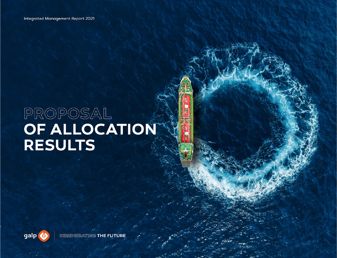# PROPOSAL<br>OF ALLOCATION **RESULTS**

**IE FUTURE** 

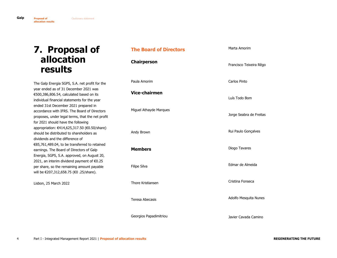#### <span id="page-3-0"></span>**7. Proposal of allocation results**

The Galp Energia SGPS, S.A. net profit for the year ended as of 31 December 2021 was €500,386,806.54, calculated based on its individual financial statements for the year ended 31st December 2021 prepared in accordance with IFRS. The Board of Directors proposes, under legal terms, that the net profit for 2021 should have the following appropriation: €414,625,317.50 (€0.50/share) should be distributed to shareholders as dividends and the difference of €85,761,489.04, to be transferred to retained earnings. The Board of Directors of Galp Energia, SGPS, S.A. approved, on August 20, 2021, an interim dividend payment of €0.25 per share, so the remaining amount payable will be €207,312,658.75 (€0 .25/share).

Lisbon, 25 March 2022

#### **The Board of Directors**

**Chairperson**

Paula Amorim

**Vice-chairmen**

Miguel Athayde Marques

Andy Brown

**Members**

Filipe Silva

Thore Kristiansen

Teresa Abecasis

Georgios Papadimitriou

Marta Amorim

Francisco Teixeira Rêgo

Carlos Pinto

Luís Todo Bom

Jorge Seabra de Freitas

Rui Paulo Gonçalves

Diogo Tavares

Edmar de Almeida

Cristina Fonseca

Adolfo Mesquita Nunes

Javier Cavada Camino

<span id="page-3-1"></span>**[Galp](#page-1-0) Proposal of allocation results**